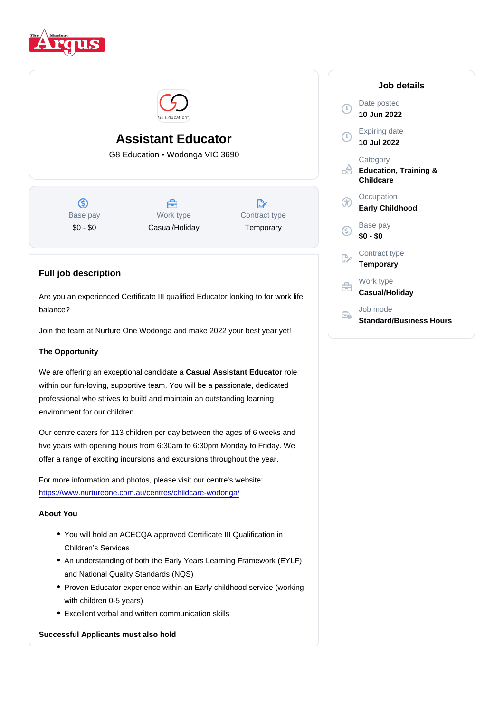# Assistant Educator

G8 Education • Wodonga VIC 3690

Base pay \$0 - \$0

Work type Casual/Holiday Contract type **Temporary** 

## Full job description

Are you an experienced Certificate III qualified Educator looking to for work life balance?

Join the team at Nurture One Wodonga and make 2022 your best year yet!

### The Opportunity

We are offering an exceptional candidate a Casual Assistant Educator vole within our fun-loving, supportive team. You will be a passionate, dedicated professional who strives to build and maintain an outstanding learning environment for our children.

Our centre caters for 113 children per day between the ages of 6 weeks and five years with opening hours from 6:30am to 6:30pm Monday to Friday. We offer a range of exciting incursions and excursions throughout the year.

For more information and photos, please visit our centre's website: <https://www.nurtureone.com.au/centres/childcare-wodonga/>

#### About You

- You will hold an ACECQA approved Certificate III Qualification in Children's Services
- An understanding of both the Early Years Learning Framework (EYLF) and National Quality Standards (NQS)
- Proven Educator experience within an Early childhood service (working with children 0-5 years)
- Excellent verbal and written communication skills

Successful Applicants must also hold

#### Job details

Date posted 10 Jun 2022

Expiring date 10 Jul 2022

**Category** Education, Training & **Childcare** 

**Occupation** Early Childhood

Base pay \$0 - \$0

Contract type **Temporary** 

Work type

Casual/Holiday

Job mode Standard/Business Hours